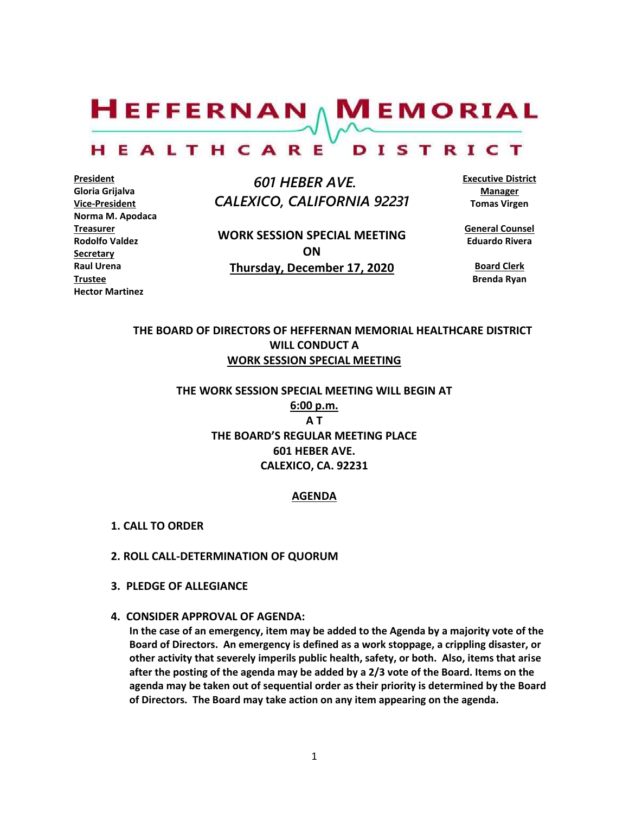$H$ EFFERNAN  $\wedge$  M EMORIAL HEALTHCARE DISTRICT

**President Gloria Grijalva Vice-President Norma M. Apodaca Treasurer Rodolfo Valdez Secretary Raul Urena Trustee Hector Martinez**

 *601 HEBER AVE. CALEXICO, CALIFORNIA 92231*

**WORK SESSION SPECIAL MEETING ON Thursday, December 17, 2020**

**Executive District Manager Tomas Virgen**

**General Counsel Eduardo Rivera**

**Board Clerk Brenda Ryan**

# **THE BOARD OF DIRECTORS OF HEFFERNAN MEMORIAL HEALTHCARE DISTRICT WILL CONDUCT A WORK SESSION SPECIAL MEETING**

**THE WORK SESSION SPECIAL MEETING WILL BEGIN AT 6:00 p.m. A T THE BOARD'S REGULAR MEETING PLACE 601 HEBER AVE. CALEXICO, CA. 92231**

#### **AGENDA**

- **1. CALL TO ORDER**
- **2. ROLL CALL-DETERMINATION OF QUORUM**
- **3. PLEDGE OF ALLEGIANCE**
- **4. CONSIDER APPROVAL OF AGENDA:**

**In the case of an emergency, item may be added to the Agenda by a majority vote of the Board of Directors. An emergency is defined as a work stoppage, a crippling disaster, or other activity that severely imperils public health, safety, or both. Also, items that arise after the posting of the agenda may be added by a 2/3 vote of the Board. Items on the agenda may be taken out of sequential order as their priority is determined by the Board of Directors. The Board may take action on any item appearing on the agenda.**